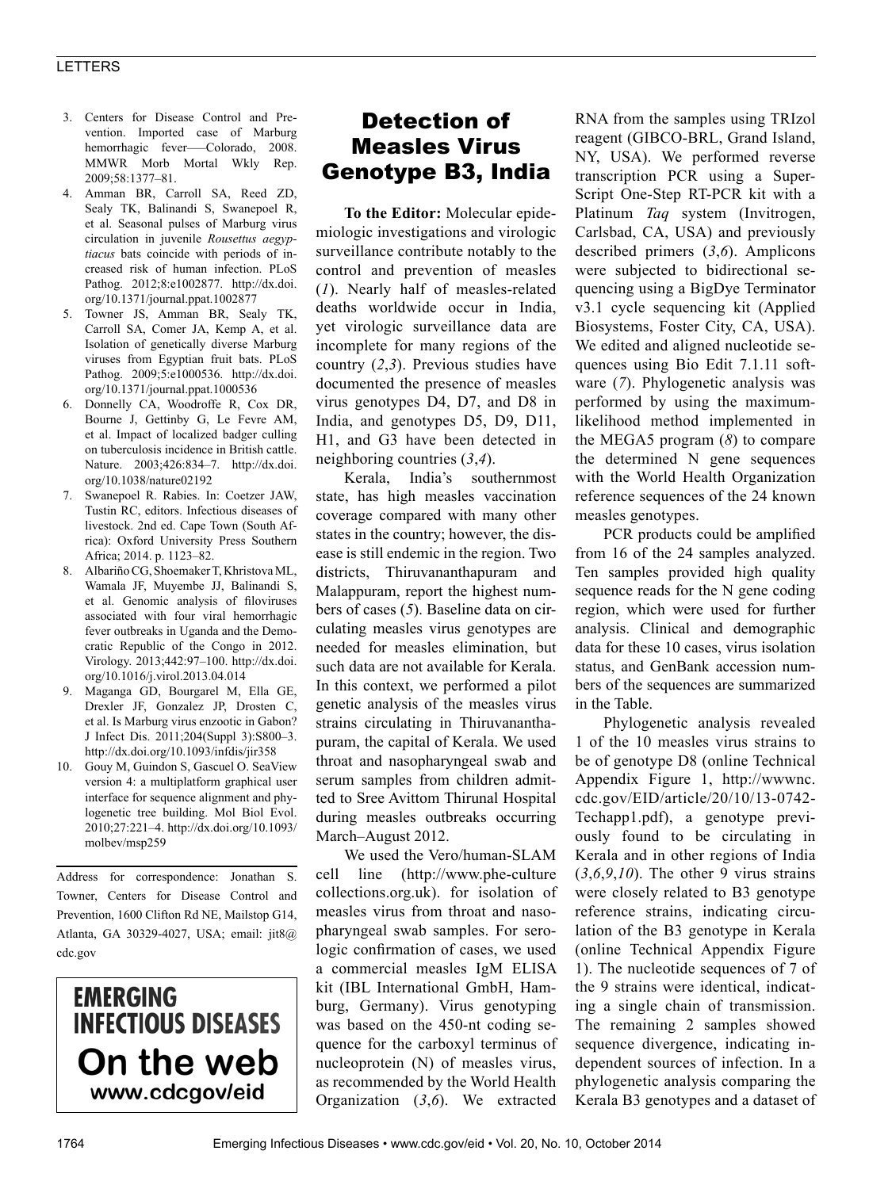#### LETTERS

- 3. Centers for Disease Control and Prevention. Imported case of Marburg hemorrhagic fever---Colorado, 2008. MMWR Morb Mortal Wkly Rep. 2009;58:1377–81.
- 4. Amman BR, Carroll SA, Reed ZD, Sealy TK, Balinandi S, Swanepoel R, et al. Seasonal pulses of Marburg virus circulation in juvenile *Rousettus aegyptiacus* bats coincide with periods of increased risk of human infection. PLoS Pathog. 2012;8:e1002877. http://dx.doi. org/10.1371/journal.ppat.1002877
- 5. Towner JS, Amman BR, Sealy TK, Carroll SA, Comer JA, Kemp A, et al. Isolation of genetically diverse Marburg viruses from Egyptian fruit bats. PLoS Pathog. 2009;5:e1000536. http://dx.doi. org/10.1371/journal.ppat.1000536
- 6. Donnelly CA, Woodroffe R, Cox DR, Bourne J, Gettinby G, Le Fevre AM, et al. Impact of localized badger culling on tuberculosis incidence in British cattle. Nature. 2003;426:834–7. http://dx.doi. org/10.1038/nature02192
- 7. Swanepoel R. Rabies. In: Coetzer JAW, Tustin RC, editors. Infectious diseases of livestock. 2nd ed. Cape Town (South Africa): Oxford University Press Southern Africa; 2014. p. 1123–82.
- 8. Albariño CG, Shoemaker T, Khristova ML, Wamala JF, Muyembe JJ, Balinandi S, et al. Genomic analysis of filoviruses associated with four viral hemorrhagic fever outbreaks in Uganda and the Democratic Republic of the Congo in 2012. Virology. 2013;442:97–100. http://dx.doi. org/10.1016/j.virol.2013.04.014
- 9. Maganga GD, Bourgarel M, Ella GE, Drexler JF, Gonzalez JP, Drosten C, et al. Is Marburg virus enzootic in Gabon? J Infect Dis. 2011;204(Suppl 3):S800–3. http://dx.doi.org/10.1093/infdis/jir358
- 10. Gouy M, Guindon S, Gascuel O. SeaView version 4: a multiplatform graphical user interface for sequence alignment and phylogenetic tree building. Mol Biol Evol. 2010;27:221–4. http://dx.doi.org/10.1093/ molbev/msp259

Address for correspondence: Jonathan S. Towner, Centers for Disease Control and Prevention, 1600 Clifton Rd NE, Mailstop G14, Atlanta, GA 30329-4027, USA; email: jit8@ cdc.gov

## **EMERGING INFECTIOUS DISEASES** On the web www.cdcgov/eid

## Detection of Measles Virus Genotype B3, India

**To the Editor:** Molecular epidemiologic investigations and virologic surveillance contribute notably to the control and prevention of measles (*1*). Nearly half of measles-related deaths worldwide occur in India, yet virologic surveillance data are incomplete for many regions of the country (*2*,*3*). Previous studies have documented the presence of measles virus genotypes D4, D7, and D8 in India, and genotypes D5, D9, D11, H1, and G3 have been detected in neighboring countries (*3*,*4*).

Kerala, India's southernmost state, has high measles vaccination coverage compared with many other states in the country; however, the disease is still endemic in the region. Two districts, Thiruvananthapuram and Malappuram, report the highest numbers of cases (*5*). Baseline data on circulating measles virus genotypes are needed for measles elimination, but such data are not available for Kerala. In this context, we performed a pilot genetic analysis of the measles virus strains circulating in Thiruvananthapuram, the capital of Kerala. We used throat and nasopharyngeal swab and serum samples from children admitted to Sree Avittom Thirunal Hospital during measles outbreaks occurring March–August 2012.

We used the Vero/human-SLAM cell line (http://www.phe-culture collections.org.uk). for isolation of measles virus from throat and nasopharyngeal swab samples. For serologic confirmation of cases, we used a commercial measles IgM ELISA kit (IBL International GmbH, Hamburg, Germany). Virus genotyping was based on the 450-nt coding sequence for the carboxyl terminus of nucleoprotein (N) of measles virus, as recommended by the World Health Organization (*3*,*6*). We extracted

RNA from the samples using TRIzol reagent (GIBCO-BRL, Grand Island, NY, USA). We performed reverse transcription PCR using a Super-Script One-Step RT-PCR kit with a Platinum *Taq* system (Invitrogen, Carlsbad, CA, USA) and previously described primers (*3*,*6*). Amplicons were subjected to bidirectional sequencing using a BigDye Terminator v3.1 cycle sequencing kit (Applied Biosystems, Foster City, CA, USA). We edited and aligned nucleotide sequences using Bio Edit 7.1.11 software (*7*). Phylogenetic analysis was performed by using the maximumlikelihood method implemented in the MEGA5 program (*8*) to compare the determined N gene sequences with the World Health Organization reference sequences of the 24 known measles genotypes.

PCR products could be amplified from 16 of the 24 samples analyzed. Ten samples provided high quality sequence reads for the N gene coding region, which were used for further analysis. Clinical and demographic data for these 10 cases, virus isolation status, and GenBank accession numbers of the sequences are summarized in the Table.

Phylogenetic analysis revealed 1 of the 10 measles virus strains to be of genotype D8 (online Technical Appendix Figure 1, http://wwwnc. cdc.gov/EID/article/20/10/13-0742- Techapp1.pdf), a genotype previously found to be circulating in Kerala and in other regions of India (*3*,*6*,*9*,*10*). The other 9 virus strains were closely related to B3 genotype reference strains, indicating circulation of the B3 genotype in Kerala (online Technical Appendix Figure 1). The nucleotide sequences of 7 of the 9 strains were identical, indicating a single chain of transmission. The remaining 2 samples showed sequence divergence, indicating independent sources of infection. In a phylogenetic analysis comparing the Kerala B3 genotypes and a dataset of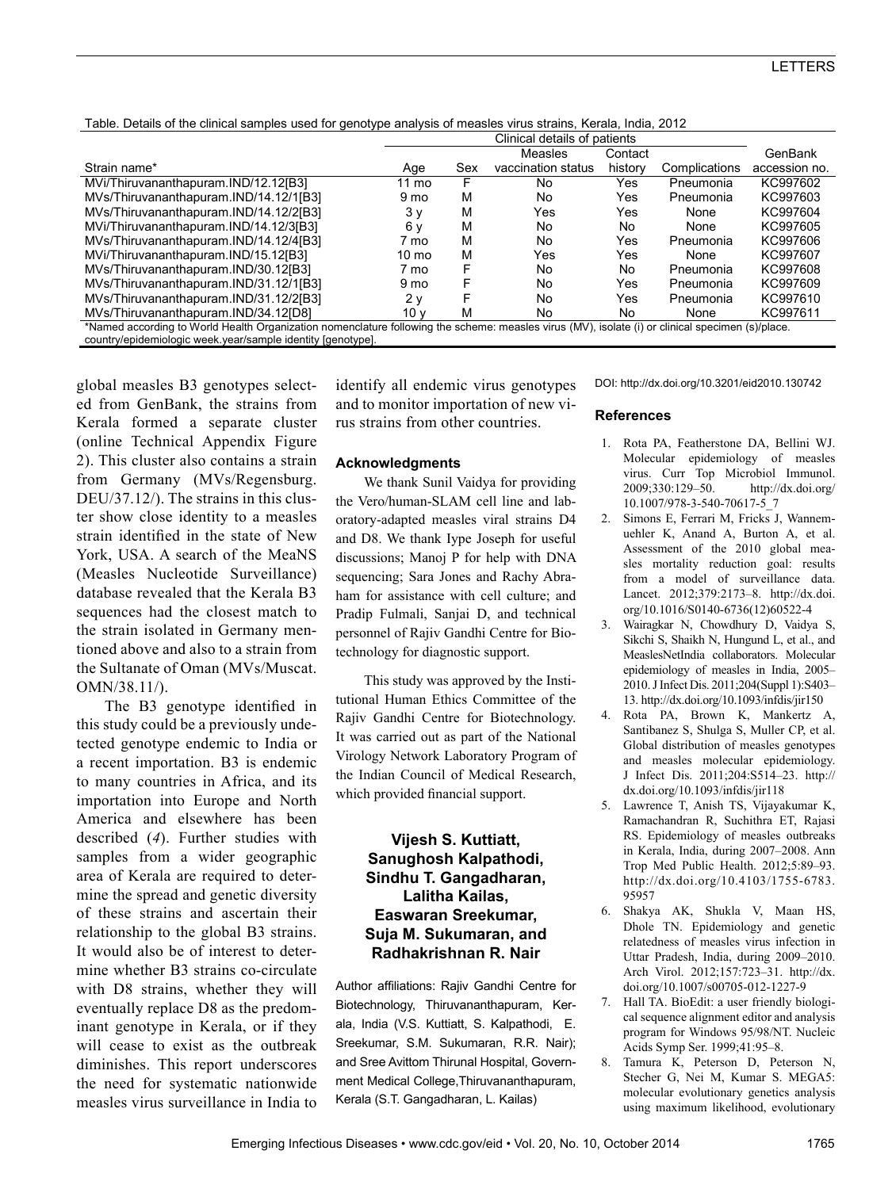|  | Table. Details of the clinical samples used for genotype analysis of measles virus strains, Kerala, India, 2012 |  |  |  |  |  |  |
|--|-----------------------------------------------------------------------------------------------------------------|--|--|--|--|--|--|
|--|-----------------------------------------------------------------------------------------------------------------|--|--|--|--|--|--|

|                                                                                                                                                  |                 | Clinical details of patients |                    |         |               |               |  |  |  |  |
|--------------------------------------------------------------------------------------------------------------------------------------------------|-----------------|------------------------------|--------------------|---------|---------------|---------------|--|--|--|--|
|                                                                                                                                                  |                 |                              | Measles            | Contact |               | GenBank       |  |  |  |  |
| Strain name*                                                                                                                                     | Age             | Sex                          | vaccination status | history | Complications | accession no. |  |  |  |  |
| MVi/Thiruvananthapuram.IND/12.12[B3]                                                                                                             | 11 mo           | F                            | No.                | Yes     | Pneumonia     | KC997602      |  |  |  |  |
| MVs/Thiruvananthapuram.IND/14.12/1[B3]                                                                                                           | 9 mo            | M                            | No                 | Yes     | Pneumonia     | KC997603      |  |  |  |  |
| MVs/Thiruvananthapuram.IND/14.12/2[B3]                                                                                                           | 3 v             | M                            | Yes                | Yes     | None          | KC997604      |  |  |  |  |
| MVi/Thiruvananthapuram.IND/14.12/3[B3]                                                                                                           | 6 v             | M                            | No                 | No.     | None          | KC997605      |  |  |  |  |
| MVs/Thiruvananthapuram.IND/14.12/4[B3]                                                                                                           | 7 mo            | М                            | No.                | Yes     | Pneumonia     | KC997606      |  |  |  |  |
| MVi/Thiruvananthapuram.IND/15.12[B3]                                                                                                             | $10 \text{ mo}$ | М                            | Yes                | Yes     | None          | KC997607      |  |  |  |  |
| MVs/Thiruvananthapuram.IND/30.12[B3]                                                                                                             | 7 mo            | F                            | No.                | No.     | Pneumonia     | KC997608      |  |  |  |  |
| MVs/Thiruvananthapuram.IND/31.12/1[B3]                                                                                                           | 9 mo            |                              | No                 | Yes     | Pneumonia     | KC997609      |  |  |  |  |
| MVs/Thiruvananthapuram.IND/31.12/2[B3]                                                                                                           | 2 v             | F                            | N <sub>o</sub>     | Yes     | Pneumonia     | KC997610      |  |  |  |  |
| MVs/Thiruvananthapuram.IND/34.12ID81                                                                                                             | 10 v            | М                            | No.                | No.     | None          | KC997611      |  |  |  |  |
| *Named according to World Health Organization nomenclature following the scheme: measles virus (MV), isolate (i) or clinical specimen (s)/place. |                 |                              |                    |         |               |               |  |  |  |  |
| country/epidemiologic week.year/sample identity [genotype].                                                                                      |                 |                              |                    |         |               |               |  |  |  |  |

global measles B3 genotypes selected from GenBank, the strains from Kerala formed a separate cluster (online Technical Appendix Figure 2). This cluster also contains a strain from Germany (MVs/Regensburg. DEU/37.12/). The strains in this cluster show close identity to a measles strain identified in the state of New York, USA. A search of the MeaNS (Measles Nucleotide Surveillance) database revealed that the Kerala B3 sequences had the closest match to the strain isolated in Germany mentioned above and also to a strain from the Sultanate of Oman (MVs/Muscat. OMN/38.11/).

The B3 genotype identified in this study could be a previously undetected genotype endemic to India or a recent importation. B3 is endemic to many countries in Africa, and its importation into Europe and North America and elsewhere has been described (*4*). Further studies with samples from a wider geographic area of Kerala are required to determine the spread and genetic diversity of these strains and ascertain their relationship to the global B3 strains. It would also be of interest to determine whether B3 strains co-circulate with D8 strains, whether they will eventually replace D8 as the predominant genotype in Kerala, or if they will cease to exist as the outbreak diminishes. This report underscores the need for systematic nationwide measles virus surveillance in India to

identify all endemic virus genotypes and to monitor importation of new virus strains from other countries.

#### **Acknowledgments**

We thank Sunil Vaidya for providing the Vero/human-SLAM cell line and laboratory-adapted measles viral strains D4 and D8. We thank Iype Joseph for useful discussions; Manoj P for help with DNA sequencing; Sara Jones and Rachy Abraham for assistance with cell culture; and Pradip Fulmali, Sanjai D, and technical personnel of Rajiv Gandhi Centre for Biotechnology for diagnostic support.

This study was approved by the Institutional Human Ethics Committee of the Rajiv Gandhi Centre for Biotechnology. It was carried out as part of the National Virology Network Laboratory Program of the Indian Council of Medical Research, which provided financial support.

#### **Vijesh S. Kuttiatt, Sanughosh Kalpathodi, Sindhu T. Gangadharan, Lalitha Kailas, Easwaran Sreekumar, Suja M. Sukumaran, and Radhakrishnan R. Nair**

Author affiliations: Rajiv Gandhi Centre for Biotechnology, Thiruvananthapuram, Kerala, India (V.S. Kuttiatt, S. Kalpathodi, E. Sreekumar, S.M. Sukumaran, R.R. Nair); and Sree Avittom Thirunal Hospital, Government Medical College,Thiruvananthapuram, Kerala (S.T. Gangadharan, L. Kailas)

DOI: http://dx.doi.org/10.3201/eid2010.130742

#### **References**

- 1. Rota PA, Featherstone DA, Bellini WJ. Molecular epidemiology of measles virus. Curr Top Microbiol Immunol. 2009;330:129–50. http://dx.doi.org/ 10.1007/978-3-540-70617-5\_7
- 2. Simons E, Ferrari M, Fricks J, Wannemuehler K, Anand A, Burton A, et al. Assessment of the 2010 global measles mortality reduction goal: results from a model of surveillance data. Lancet. 2012;379:2173–8. http://dx.doi. org/10.1016/S0140-6736(12)60522-4
- 3. Wairagkar N, Chowdhury D, Vaidya S, Sikchi S, Shaikh N, Hungund L, et al., and MeaslesNetIndia collaborators. Molecular epidemiology of measles in India, 2005– 2010. J Infect Dis. 2011;204(Suppl 1):S403– 13. http://dx.doi.org/10.1093/infdis/jir150
- 4. Rota PA, Brown K, Mankertz A, Santibanez S, Shulga S, Muller CP, et al. Global distribution of measles genotypes and measles molecular epidemiology. J Infect Dis. 2011;204:S514–23. http:// dx.doi.org/10.1093/infdis/jir118
- 5. Lawrence T, Anish TS, Vijayakumar K, Ramachandran R, Suchithra ET, Rajasi RS. Epidemiology of measles outbreaks in Kerala, India, during 2007–2008. Ann Trop Med Public Health. 2012;5:89–93. http://dx.doi.org/10.4103/1755-6783. 95957
- 6. Shakya AK, Shukla V, Maan HS, Dhole TN. Epidemiology and genetic relatedness of measles virus infection in Uttar Pradesh, India, during 2009–2010. Arch Virol. 2012;157:723–31. http://dx. doi.org/10.1007/s00705-012-1227-9
- 7. Hall TA. BioEdit: a user friendly biological sequence alignment editor and analysis program for Windows 95/98/NT. Nucleic Acids Symp Ser. 1999;41:95–8.
- 8. Tamura K, Peterson D, Peterson N, Stecher G, Nei M, Kumar S. MEGA5: molecular evolutionary genetics analysis using maximum likelihood, evolutionary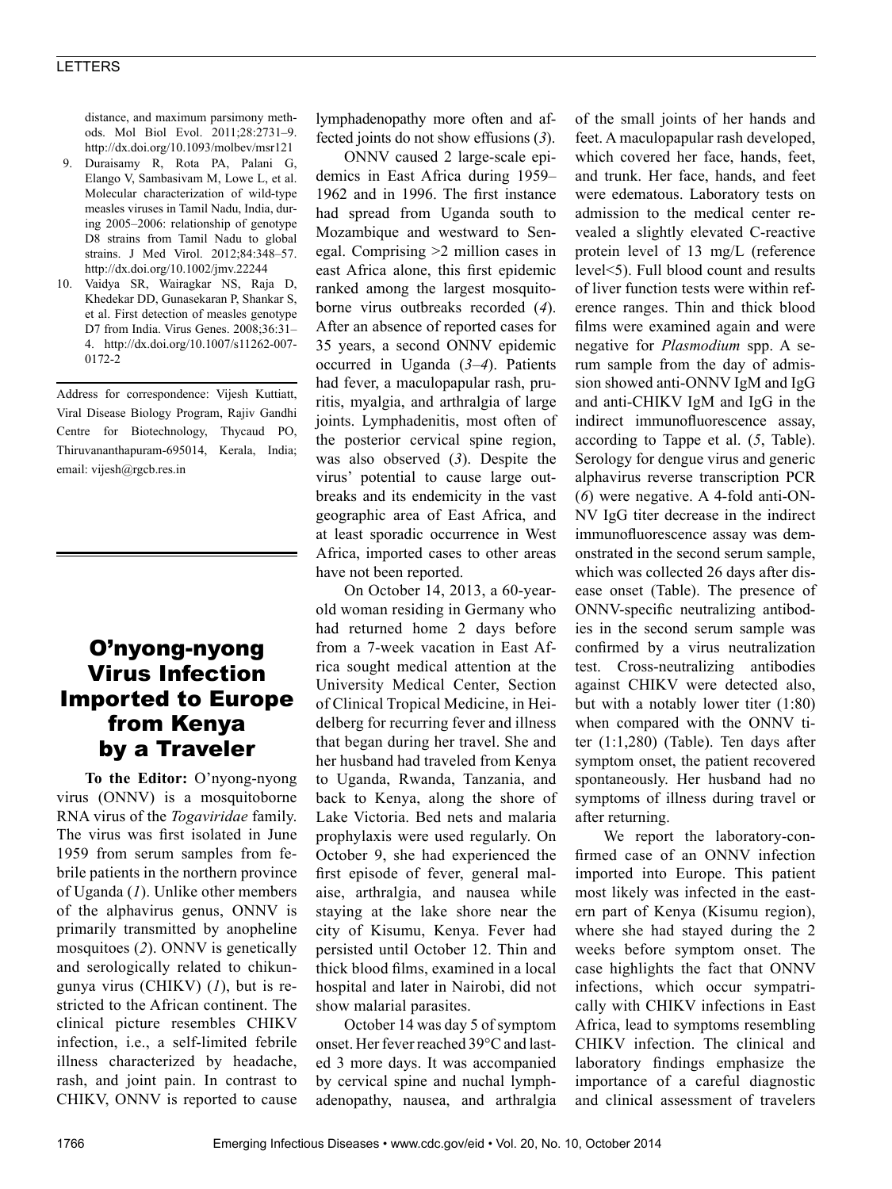#### LETTERS

distance, and maximum parsimony methods. Mol Biol Evol. 2011;28:2731–9. http://dx.doi.org/10.1093/molbev/msr121

- 9. Duraisamy R, Rota PA, Palani G, Elango V, Sambasivam M, Lowe L, et al. Molecular characterization of wild-type measles viruses in Tamil Nadu, India, during 2005–2006: relationship of genotype D8 strains from Tamil Nadu to global strains. J Med Virol. 2012;84:348–57. http://dx.doi.org/10.1002/jmv.22244
- 10. Vaidya SR, Wairagkar NS, Raja D, Khedekar DD, Gunasekaran P, Shankar S, et al. First detection of measles genotype D7 from India. Virus Genes. 2008;36:31– 4. http://dx.doi.org/10.1007/s11262-007- 0172-2

Address for correspondence: Vijesh Kuttiatt, Viral Disease Biology Program, Rajiv Gandhi Centre for Biotechnology, Thycaud PO, Thiruvananthapuram-695014, Kerala, India; email: vijesh@rgcb.res.in

### O'nyong-nyong Virus Infection Imported to Europe from Kenya by a Traveler

**To the Editor:** O'nyong-nyong virus (ONNV) is a mosquitoborne RNA virus of the *Togaviridae* family. The virus was first isolated in June 1959 from serum samples from febrile patients in the northern province of Uganda (*1*). Unlike other members of the alphavirus genus, ONNV is primarily transmitted by anopheline mosquitoes (*2*). ONNV is genetically and serologically related to chikungunya virus (CHIKV) (*1*), but is restricted to the African continent. The clinical picture resembles CHIKV infection, i.e., a self-limited febrile illness characterized by headache, rash, and joint pain. In contrast to CHIKV, ONNV is reported to cause lymphadenopathy more often and affected joints do not show effusions (*3*).

ONNV caused 2 large-scale epidemics in East Africa during 1959– 1962 and in 1996. The first instance had spread from Uganda south to Mozambique and westward to Senegal. Comprising >2 million cases in east Africa alone, this first epidemic ranked among the largest mosquitoborne virus outbreaks recorded (*4*). After an absence of reported cases for 35 years, a second ONNV epidemic occurred in Uganda (*3–4*). Patients had fever, a maculopapular rash, pruritis, myalgia, and arthralgia of large joints. Lymphadenitis, most often of the posterior cervical spine region, was also observed (*3*). Despite the virus' potential to cause large outbreaks and its endemicity in the vast geographic area of East Africa, and at least sporadic occurrence in West Africa, imported cases to other areas have not been reported.

On October 14, 2013, a 60-yearold woman residing in Germany who had returned home 2 days before from a 7-week vacation in East Africa sought medical attention at the University Medical Center, Section of Clinical Tropical Medicine, in Heidelberg for recurring fever and illness that began during her travel. She and her husband had traveled from Kenya to Uganda, Rwanda, Tanzania, and back to Kenya, along the shore of Lake Victoria. Bed nets and malaria prophylaxis were used regularly. On October 9, she had experienced the first episode of fever, general malaise, arthralgia, and nausea while staying at the lake shore near the city of Kisumu, Kenya. Fever had persisted until October 12. Thin and thick blood films, examined in a local hospital and later in Nairobi, did not show malarial parasites.

October 14 was day 5 of symptom onset. Her fever reached 39°C and lasted 3 more days. It was accompanied by cervical spine and nuchal lymphadenopathy, nausea, and arthralgia

of the small joints of her hands and feet. A maculopapular rash developed, which covered her face, hands, feet, and trunk. Her face, hands, and feet were edematous. Laboratory tests on admission to the medical center revealed a slightly elevated C-reactive protein level of 13 mg/L (reference level<5). Full blood count and results of liver function tests were within reference ranges. Thin and thick blood films were examined again and were negative for *Plasmodium* spp. A serum sample from the day of admission showed anti-ONNV IgM and IgG and anti-CHIKV IgM and IgG in the indirect immunofluorescence assay, according to Tappe et al. (*5*, Table). Serology for dengue virus and generic alphavirus reverse transcription PCR (*6*) were negative. A 4-fold anti-ON-NV IgG titer decrease in the indirect immunofluorescence assay was demonstrated in the second serum sample, which was collected 26 days after disease onset (Table). The presence of ONNV-specific neutralizing antibodies in the second serum sample was confirmed by a virus neutralization test. Cross-neutralizing antibodies against CHIKV were detected also, but with a notably lower titer (1:80) when compared with the ONNV titer (1:1,280) (Table). Ten days after symptom onset, the patient recovered spontaneously. Her husband had no symptoms of illness during travel or after returning.

We report the laboratory-confirmed case of an ONNV infection imported into Europe. This patient most likely was infected in the eastern part of Kenya (Kisumu region), where she had stayed during the 2 weeks before symptom onset. The case highlights the fact that ONNV infections, which occur sympatrically with CHIKV infections in East Africa, lead to symptoms resembling CHIKV infection. The clinical and laboratory findings emphasize the importance of a careful diagnostic and clinical assessment of travelers